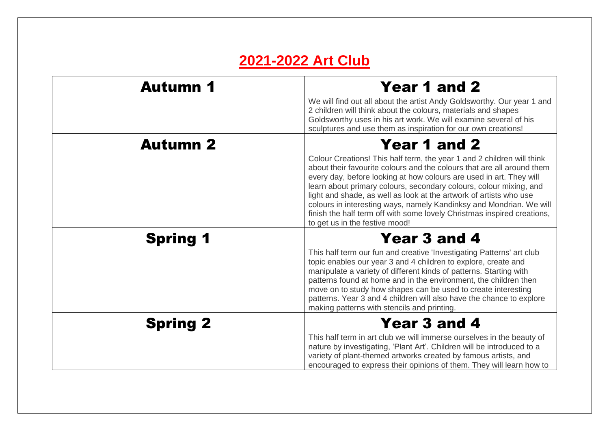## **2021-2022 Art Club**

| <b>Autumn 1</b> | Year 1 and 2<br>We will find out all about the artist Andy Goldsworthy. Our year 1 and<br>2 children will think about the colours, materials and shapes<br>Goldsworthy uses in his art work. We will examine several of his<br>sculptures and use them as inspiration for our own creations!                                                                                                                                                                                                                                          |
|-----------------|---------------------------------------------------------------------------------------------------------------------------------------------------------------------------------------------------------------------------------------------------------------------------------------------------------------------------------------------------------------------------------------------------------------------------------------------------------------------------------------------------------------------------------------|
| <b>Autumn 2</b> | Year 1 and 2<br>Colour Creations! This half term, the year 1 and 2 children will think<br>about their favourite colours and the colours that are all around them<br>every day, before looking at how colours are used in art. They will<br>learn about primary colours, secondary colours, colour mixing, and<br>light and shade, as well as look at the artwork of artists who use<br>colours in interesting ways, namely Kandinksy and Mondrian. We will<br>finish the half term off with some lovely Christmas inspired creations, |
| <b>Spring 1</b> | to get us in the festive mood!<br>Year 3 and 4<br>This half term our fun and creative 'Investigating Patterns' art club<br>topic enables our year 3 and 4 children to explore, create and<br>manipulate a variety of different kinds of patterns. Starting with<br>patterns found at home and in the environment, the children then<br>move on to study how shapes can be used to create interesting<br>patterns. Year 3 and 4 children will also have the chance to explore<br>making patterns with stencils and printing.           |
| <b>Spring 2</b> | <b>Year 3 and 4</b><br>This half term in art club we will immerse ourselves in the beauty of<br>nature by investigating, 'Plant Art'. Children will be introduced to a<br>variety of plant-themed artworks created by famous artists, and<br>encouraged to express their opinions of them. They will learn how to                                                                                                                                                                                                                     |